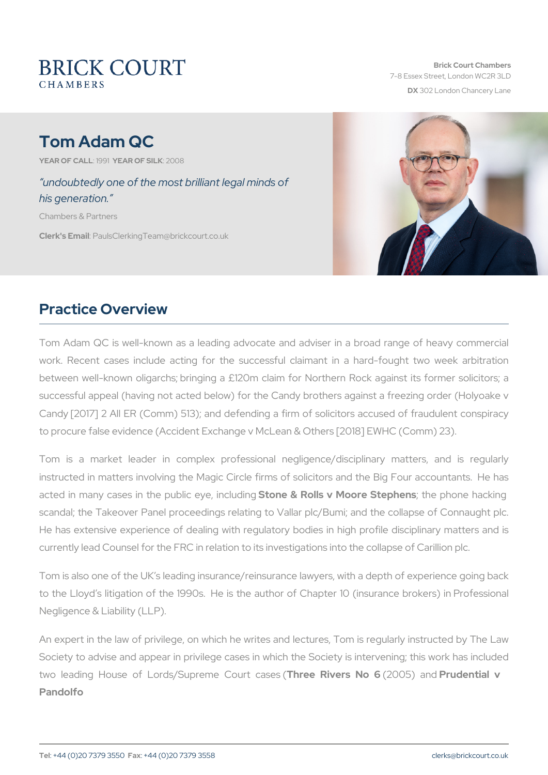# Tom Adam QC

YEAR OF CALLSMEAR OF SIZLONO 8

 undoubtedly one of the most brilliant legal minds of his generation.

Chambers & Partners

Clerk's EP aulsClerking Team @brickcourt.co.uk

# Practice Overview

Tom Adam QC is well-known as a leading advocate and adviser in work. Recent cases include acting for the successful claimant in between well-known oligarchs; bringing a £120m claim for Northern successful appeal (having not acted below) for the Candy brothers a Candy [2017] 2 All ER (Comm) 513); and defending a firm of solicitors to procure false evidence (Accident Exchange v McLean & Others [201

Tom is a market leader in complex professional negligence/di instructed in matters involving the Magic Circle firms of solicitors a acted in many cases in the p**Sboince e& eRollnis I w d Migore t Steephens** hacki scandal; the Takeover Panel proceedings relating to Vallar plc/Bumi; He has extensive experience of dealing with regulatory bodies in hi currently lead Counsel for the FRC in relation to its investigations int

Tom is also one of the UK s leading insurance/reinsurance lawyers, w to the Lloyd s litigation of the 1990s. He is the author of Chapter Negligence & Liability (LLP).

An expert in the law of privilege, on which he writes and lectures, T Society to advise and appear in privilege cases in which the Society two leading House of Lords/SupTrheme CRowers (2No 686) Parruddential v Pandolfo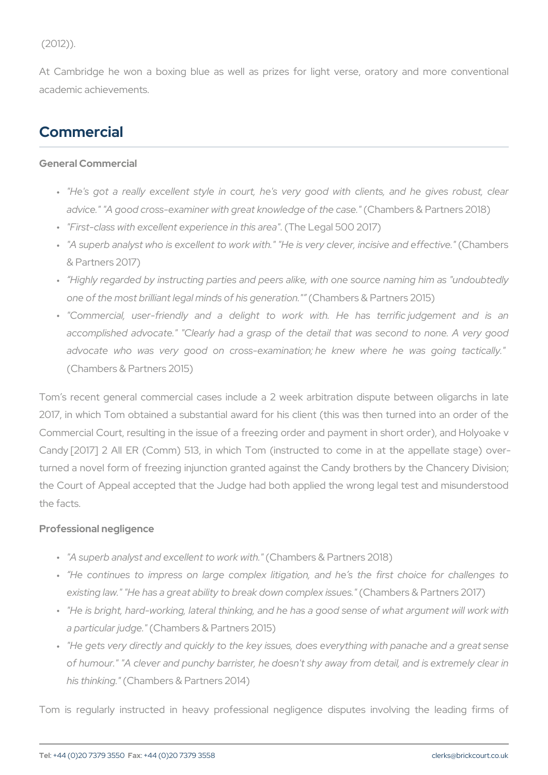$(2012)$ .

At Cambridge he won a boxing blue as well as prizes for light verse, oratory and more conventional more conventional more conventional more conventional more conventional more conventional more conventional more convention academic achievements.

### Commercial

General Commercial

- " "He's got a really excellent style in court, he's very good wi advice." "A good cross-examiner with great Chamber dega bathere csas 20
- " "First-class with excellent expe(rThe ecleeignalth  $50a20d7$ )
- " "A superb analyst who is excellent to work with." "He (Chamyboclev & Partners 2017)
- " Highly regarded by instructing parties and peers alike, with one one of the most brilliant legal min $dG$ hambiesrsge&nePraarttiroenr.s" 2015)
- " "Commercial, user-friendly and a delight to work with. He accomplished advocate." "Clearly had a grasp of the detail that advocate who was very good on cross-examination; he knew (Chambers & Partners 2015)

Tom s recent general commercial cases include a 2 week arbitration 2017, in which Tom obtained a substantial award for his client (this Commercial Court, resulting in the issue of a freezing order and pay Candy  $[2017]$  2 All ER (Comm) 513, in which Tom (instructed to come turned a novel form of freezing injunction granted against the Candy the Court of Appeal accepted that the Judge had both applied the wi the facts.

Professional negligence

- " "A superb analyst and excell(@Chhtamobwerosk&wPahrthers 2018)
- " He continues to impress on large complex litigation, and he existing law." "He has a great ability to b Cebaak molonewish & opphapiltense riss sauler
- " "He is bright, hard-working, lateral thinking, and he has a good s a particular (jQdgmbers & Partners 2015)
- " "He gets very directly and quickly to the key issues, does everyt of humour." "A clever and punchy barrister, he doesn't shy away his think( $i$ Chambers & Partners 2014)

Tom is regularly instructed in heavy professional negligence dis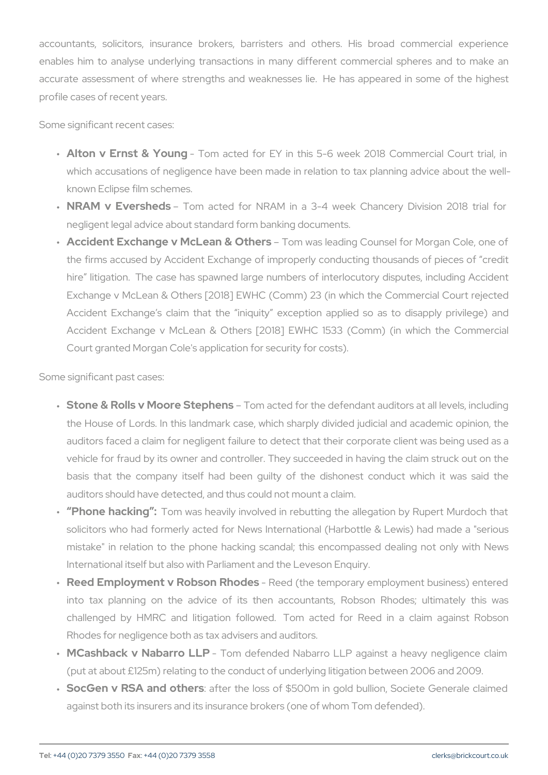accountants, solicitors, insurance brokers, barristers and others enables him to analyse underlying transactions in many different do accurate assessment of where strengths and weaknesses lie. He h profile cases of recent years.

Some significant recent cases:

- " Alton v Ernst & Yomung cted for EY in this 5-6 week 2018 Cor which accusations of negligence have been made in relation to tax known Eclipse film schemes.
- " NRAM v EvershTecchns acted for NRAM in a 3-4 week Chancery negligent legal advice about standard form banking documents.
- " Accident Exchange v McLeamo&n @uahselresading Counsel for Morga the firms accused by Accident Exchange of improperly conducting hire litigation. The case has spawned large numbers of interlo Exchange v McLean & Others [2018] EWHC (Comm) 23 (in which Accident Exchange s claim that the iniquity exception applie Accident Exchange v McLean & Others [2018] EWHC 1533 (Co Court granted Morgan Cole's application for security for costs).

Some significant past cases:

- " Stone & Rolls v Moore **Stemplaenesd** for the defendant auditors at the House of Lords. In this landmark case, which sharply divided auditors faced a claim for negligent failure to detect that their co vehicle for fraud by its owner and controller. They succeeded in basis that the company itself had been guilty of the dishone auditors should have detected, and thus could not mount a claim.
- " Phone hackTing was heavily involved in rebutting the allegation solicitors who had formerly acted for News International (Harbot mistake" in relation to the phone hacking scandal; this encomp International itself but also with Parliament and the Leveson Enqu
- " Reed Employment v Robsone & colders temporary employment busi into tax planning on the advice of its then accountants,  $\mathbb{R}^d$ challenged by HMRC and litigation followed. Tom acted for Rhodes for negligence both as tax advisers and auditors.
- " M C ashback v Nabarr Tom L Pefended Nabarro LLP against a heav (put at about  $£125m$ ) relating to the conduct of underlying litigation
- " SocGen v RSA and a bt terre rise loss of \$500m in gold bullion, Soc against both its insurers and its insurance brokers (one of whom T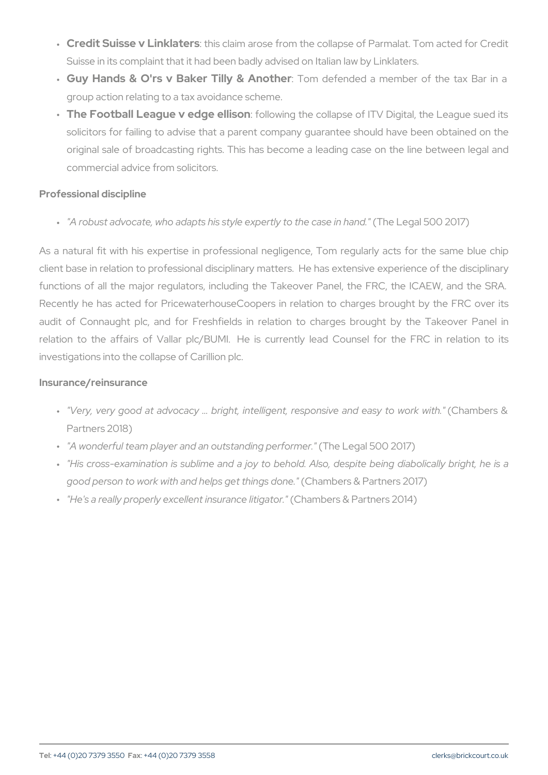- " Credit Suisse v Linkilsatoelasm arose from the collapse of Parmalat Suisse in its complaint that it had been badly advised on Italian Ia
- " Guy Hands & O'rs v Baker :Tillolym & de Aennochtehole ra member of the group action relating to a tax avoidance scheme.
- " The Football League v edigle owl higs othe collapse of ITV Digital, the League v edigious solicitors for failing to advise that a parent company guarantee original sale of broadcasting rights. This has become a leading commercial advice from solicitors.

Professional discipline

" "A robust advocate, who adapts his style expletelly etgoalth5e0 0ca2s0e1 7n h

As a natural fit with his expertise in professional negligence, Tom client base in relation to professional disciplinary matters. He has e functions of all the major regulators, including the Takeover Panel Recently he has acted for PricewaterhouseCoopers in relation to charges by the FRC over  $R$ audit of Connaught plc, and for Freshfields in relation to charge relation to the affairs of Vallar plc/BUMI. He is currently lead investigations into the collapse of Carillion plc.

Insurance/reinsurance

- " "Very, very good at advocacy & bright, intelligent, (r@saponrbseinvse & and to work with." Intelligent, (Cha Partners 2018)
- " "A wonderful team player and an out sthaendlienggalp 50fOor2n0e1r7.)"
- " "His cross-examination is sublime and a joy to behold. Also, de: good person to work with and help Cshoa ent bitchrish of us also when  $\alpha$  are then  $\alpha$  changers  $(2017)$
- " "He's a really properly excellent Chrasmulpanse & I Pragram to rs" 2014)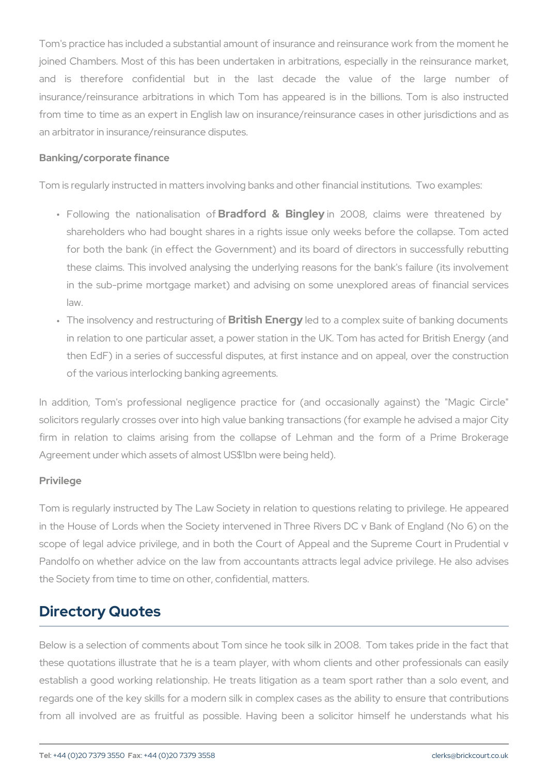Tom's practice has included a substantial amount of insurance and re joined Chambers. Most of this has been undertaken in arbitrations, and is therefore confidential but in the last decade the insurance/reinsurance arbitrations in which Tom has appeared is in from time to time as an expert in English law on insurance/reinsuran an arbitrator in insurance/reinsurance disputes.

#### Banking/corporate finance

Tom is regularly instructed in matters involving banks and other finan

- " Following the natioBsabi**sion fo**f Bing 260908, claims were threatened by the control and by Europe and and the c shareholders who had bought shares in a rights issue only weel for both the bank (in effect the Government) and its board of d these claims. This involved analysing the underlying reasons for in the sub-prime mortgage market) and advising on some unexp law.
- " The insolvency and resBtriutois uhri Eign eberfogyto a complex suite of bankin in relation to one particular asset, a power station in the UK. To then EdF) in a series of successful disputes, at first instance a of the various interlocking banking agreements.

In addition, Tom's professional negligence practice for (and occa solicitors regularly crosses over into high value banking transactions firm in relation to claims arising from the collapse of Lehman Agreement under which assets of almost US\$1bn were being held).

#### Privilege

Tom is regularly instructed by The Law Society in relation to question in the House of Lords when the Society intervened in Three Rivers I scope of legal advice privilege, and in both the Court of Appeal an Pandolfo on whether advice on the law from accountants attracts led the Society from time to time on other, confidential, matters.

### Directory Quotes

Below is a selection of comments about Tom since he took silk in 20 these quotations illustrate that he is a team player, with whom clie establish a good working relationship. He treats litigation as a tea regards one of the key skills for a modern silk in complex cases as the ability of from all involved are as fruitful as possible. Having been a soli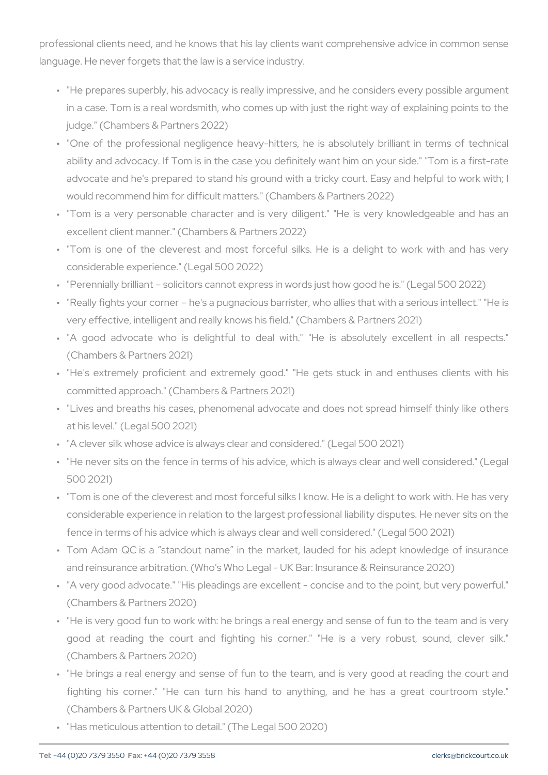professional clients need, and he knows that his lay clients want cor language. He never forgets that the law is a service industry.

- " "He prepares superbly, his advocacy is really impressive, and he in a case. Tom is a real wordsmith, who comes up with just the r judge." (Chambers & Partners 2022)
- " "One of the professional negligence heavy-hitters, he is absolu ability and advocacy. If Tom is in the case you definitely want hi advocate and he's prepared to stand his ground with a tricky cou would recommend him for difficult matters." (Chambers & Partners
- " "Tom is a very personable character and is very diligent." "He excellent client manner." (Chambers & Partners 2022)
- " "Tom is one of the cleverest and most forceful silks. He is a considerable experience." (Legal 500 2022)
- " "Perennially brilliant solicitors cannot express in words just how
- " "Really fights your corner he's a pugnacious barrister, who allie very effective, intelligent and really knows his field." (Chambers 8
- " "A good advocate who is delightful to deal with." "He is a (Chambers & Partners 2021)
- " "He's extremely proficient and extremely good." "He gets stuck committed approach." (Chambers & Partners 2021)
- " "Lives and breaths his cases, phenomenal advocate and does no at his level." (Legal 500 2021)
- " "A clever silk whose advice is always clear and considered." (Lega
- " "He never sits on the fence in terms of his advice, which is alway 500 2021)
- " "Tom is one of the cleverest and most forceful silks I know. He is considerable experience in relation to the largest professional lia fence in terms of his advice which is always clear and well consid
- " Tom Adam QC is a standout name in the market, lauded for h and reinsurance arbitration. (Who's Who Legal - UK Bar: Insurance
- " "A very good advocate." "His pleadings are excellent concise ar (Chambers & Partners 2020)
- " "He is very good fun to work with: he brings a real energy and s good at reading the court and fighting his corner." "He is (Chambers & Partners 2020)
- " "He brings a real energy and sense of fun to the team, and is v fighting his corner." "He can turn his hand to anything, and (Chambers & Partners UK & Global 2020)
- " "Has meticulous attention to detail." (The Legal 500 2020)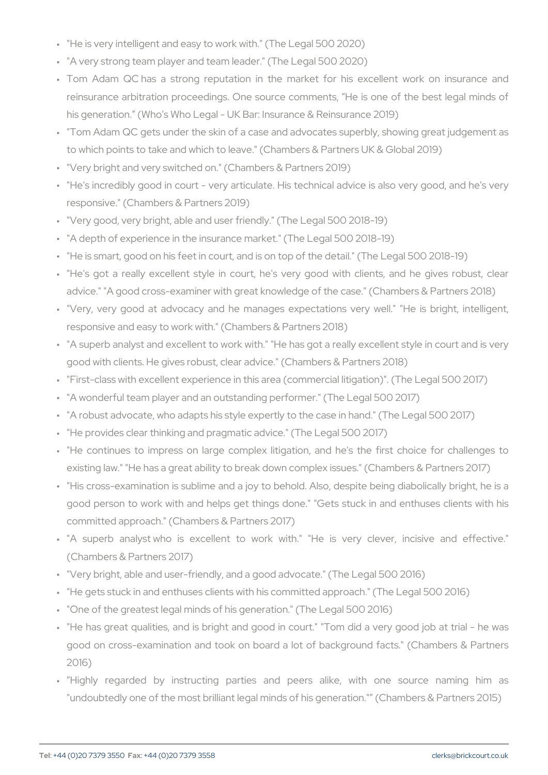" "He is very intelligent and easy to work with." (The Legal 500 202 " "A very strong team player and team leader." (The Legal 500 2020) " Tom Adam QC has a strong reputation in the market for his reinsurance arbitration proceedings. One source comments, He his generation. (Who's Who Legal - UK Bar: Insurance & Reinsura " "Tom Adam QC gets under the skin of a case and advocates super to which points to take and which to leave." (Chambers & Partners " "Very bright and very switched on." (Chambers & Partners 2019)

" "He's incredibly good in court - very articulate. His technical adv responsive." (Chambers & Partners 2019)

" "Very good, very bright, able and user friendly." (The Legal 500 2018) " "A depth of experience in the insurance market." (The Legal 500 2 " "He is smart, good on his feet in court, and is on top of the detail " "He's got a really excellent style in court, he's very good wit advice." "A good cross-examiner with great knowledge of the case. " "Very, very good at advocacy and he manages expectations ve responsive and easy to work with." (Chambers & Partners 2018)

" "A superb analyst and excellent to work with." "He has got a reall good with clients. He gives robust, clear advice." (Chambers & Pa " "First-class with excellent experience in this area (commercial liti " "A wonderful team player and an outstanding performer." (The Leg " "A robust advocate, who adapts his style expertly to the case in h " "He provides clear thinking and pragmatic advice." (The Legal 500 " "He continues to impress on large complex litigation, and he's existing law." "He has a great ability to break down complex issue " "His cross-examination is sublime and a joy to behold. Also, desp good person to work with and helps get things done." "Gets stud committed approach." (Chambers & Partners 2017)

" "A superb analyst who is excellent to work with." "He is (Chambers & Partners 2017)

" "Very bright, able and user-friendly, and a good advocate." (The L " "He gets stuck in and enthuses clients with his committed approac " "One of the greatest legal minds of his generation." (The Legal 50

- " "He has great qualities, and is bright and good in court." "Tom d good on cross-examination and took on board a lot of background 2016)
- " Highly regarded by instructing parties and peers alike, "undoubtedly one of the most brilliant legal minds of his generatio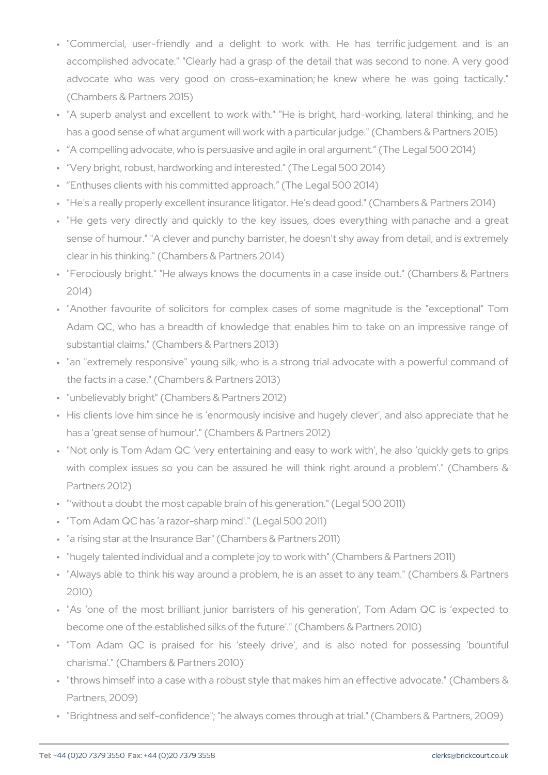- " "Commercial, user-friendly and a delight to work with. He accomplished advocate." "Clearly had a grasp of the detail that advocate who was very good on cross-examination; he knew (Chambers & Partners 2015)
- " "A superb analyst and excellent to work with." "He is bright, ha has a good sense of what argument will work with a particular judge. " A compelling advocate, who is persuasive and agile in oral argum " Very bright, robust, hardworking and interested. (The Legal 500 " Enthuses clients with his committed approach. (The Legal 500 20 " "He's a really properly excellent insurance litigator. He's dead go " "He gets very directly and quickly to the key issues, does ev sense of humour." "A clever and punchy barrister, he doesn't shy clear in his thinking." (Chambers & Partners 2014)
- " "Ferociously bright." "He always knows the documents in a case 2014)
- " "Another favourite of solicitors for complex cases of some mag Adam QC, who has a breadth of knowledge that enables him to substantial claims." (Chambers & Partners 2013)
- " "an "extremely responsive" young silk, who is a strong trial adv the facts in a case." (Chambers & Partners 2013)
- " "unbelievably bright" (Chambers & Partners 2012)
- " His clients love him since he is enormously incisive and hugely has a great sense of humour'." (Chambers & Partners 2012)
- " "Not only is Tom Adam QC very entertaining and easy to work v with complex issues so you can be assured he will think right Partners 2012)
- " " without a doubt the most capable brain of his generation." (Lega
- " "Tom Adam QC has a razor-sharp mind'." (Legal 500 2011)
- " "a rising star at the Insurance Bar" (Chambers & Partners 2011)
- " "hugely talented individual and a complete joy to work with" (Chan " "Always able to think his way around a problem, he is an asset t
- 2010)
- " "As one of the most brilliant junior barristers of his generati become one of the established silks of the future'." (Chambers & F
- " "Tom Adam QC is praised for his steely drive', and is a charisma'." (Chambers & Partners 2010)
- " "throws himself into a case with a robust style that makes him an Partners, 2009)
- " "Brightness and self-confidence"; "he always comes through at tria